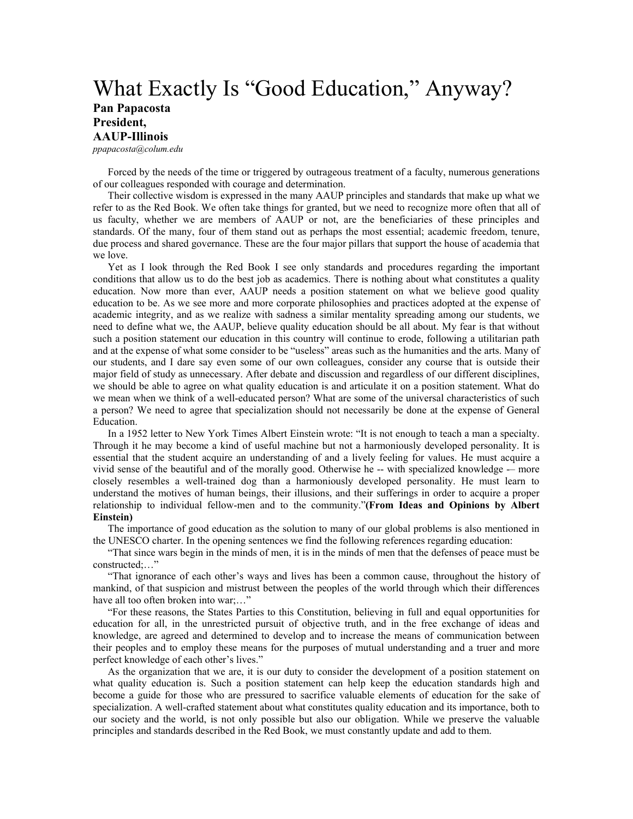## What Exactly Is "Good Education," Anyway?

## **Pan Papacosta President, AAUP-Illinois**

*ppapacosta@colum.edu*

Forced by the needs of the time or triggered by outrageous treatment of a faculty, numerous generations of our colleagues responded with courage and determination.

Their collective wisdom is expressed in the many AAUP principles and standards that make up what we refer to as the Red Book. We often take things for granted, but we need to recognize more often that all of us faculty, whether we are members of AAUP or not, are the beneficiaries of these principles and standards. Of the many, four of them stand out as perhaps the most essential; academic freedom, tenure, due process and shared governance. These are the four major pillars that support the house of academia that we love.

Yet as I look through the Red Book I see only standards and procedures regarding the important conditions that allow us to do the best job as academics. There is nothing about what constitutes a quality education. Now more than ever, AAUP needs a position statement on what we believe good quality education to be. As we see more and more corporate philosophies and practices adopted at the expense of academic integrity, and as we realize with sadness a similar mentality spreading among our students, we need to define what we, the AAUP, believe quality education should be all about. My fear is that without such a position statement our education in this country will continue to erode, following a utilitarian path and at the expense of what some consider to be "useless" areas such as the humanities and the arts. Many of our students, and I dare say even some of our own colleagues, consider any course that is outside their major field of study as unnecessary. After debate and discussion and regardless of our different disciplines, we should be able to agree on what quality education is and articulate it on a position statement. What do we mean when we think of a well-educated person? What are some of the universal characteristics of such a person? We need to agree that specialization should not necessarily be done at the expense of General Education.

In a 1952 letter to New York Times Albert Einstein wrote: "It is not enough to teach a man a specialty. Through it he may become a kind of useful machine but not a harmoniously developed personality. It is essential that the student acquire an understanding of and a lively feeling for values. He must acquire a vivid sense of the beautiful and of the morally good. Otherwise he -- with specialized knowledge -– more closely resembles a well-trained dog than a harmoniously developed personality. He must learn to understand the motives of human beings, their illusions, and their sufferings in order to acquire a proper relationship to individual fellow-men and to the community."**(From Ideas and Opinions by Albert Einstein)** 

The importance of good education as the solution to many of our global problems is also mentioned in the UNESCO charter. In the opening sentences we find the following references regarding education:

"That since wars begin in the minds of men, it is in the minds of men that the defenses of peace must be constructed;…"

"That ignorance of each other's ways and lives has been a common cause, throughout the history of mankind, of that suspicion and mistrust between the peoples of the world through which their differences have all too often broken into war;..."

"For these reasons, the States Parties to this Constitution, believing in full and equal opportunities for education for all, in the unrestricted pursuit of objective truth, and in the free exchange of ideas and knowledge, are agreed and determined to develop and to increase the means of communication between their peoples and to employ these means for the purposes of mutual understanding and a truer and more perfect knowledge of each other's lives."

As the organization that we are, it is our duty to consider the development of a position statement on what quality education is. Such a position statement can help keep the education standards high and become a guide for those who are pressured to sacrifice valuable elements of education for the sake of specialization. A well-crafted statement about what constitutes quality education and its importance, both to our society and the world, is not only possible but also our obligation. While we preserve the valuable principles and standards described in the Red Book, we must constantly update and add to them.